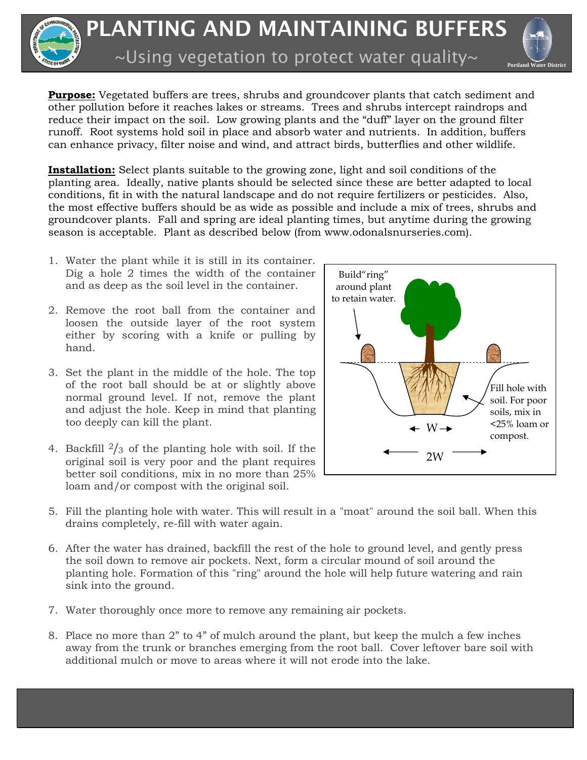



**Purpose:** Vegetated buffers are trees, shrubs and groundcover plants that catch sediment and other pollution before it reaches lakes or streams. Trees and shrubs intercept raindrops and reduce their impact on the soil. Low growing plants and the "duff" layer on the ground filter runoff. Root systems hold soil in place and absorb water and nutrients. In addition, buffers can enhance privacy, filter noise and wind, and attract birds, butterflies and other wildlife.

**Installation:** Select plants suitable to the growing zone, light and soil conditions of the planting area. Ideally, native plants should be selected since these are better adapted to local conditions, fit in with the natural landscape and do not require fertilizers or pesticides. Also, the most effective buffers should be as wide as possible and include a mix of trees, shrubs and groundcover plants. Fall and spring are ideal planting times, but anytime during the growing season is acceptable. Plant as described below (from www.odonalsnurseries.com).

- 1. Water the plant while it is still in its container. Dig a hole 2 times the width of the container and as deep as the soil level in the container.
- 2. Remove the root ball from the container and loosen the outside layer of the root system either by scoring with a knife or pulling by hand.
- 3. Set the plant in the middle of the hole. The top of the root ball should be at or slightly above normal ground level. If not, remove the plant and adjust the hole. Keep in mind that planting too deeply can kill the plant.
- 4. Backfill  $\frac{2}{3}$  of the planting hole with soil. If the original soil is very poor and the plant requires better soil conditions, mix in no more than 25% loam and/or compost with the original soil.



- 5. Fill the planting hole with water. This will result in a "moat" around the soil ball. When this drains completely, re-fill with water again.
- 6. After the water has drained, backfill the rest of the hole to ground level, and gently press the soil down to remove air pockets. Next, form a circular mound of soil around the planting hole. Formation of this "ring" around the hole will help future watering and rain sink into the ground.
- 7. Water thoroughly once more to remove any remaining air pockets.
- 8. Place no more than 2" to 4" of mulch around the plant, but keep the mulch a few inches away from the trunk or branches emerging from the root ball. Cover leftover bare soil with additional mulch or move to areas where it will not erode into the lake.